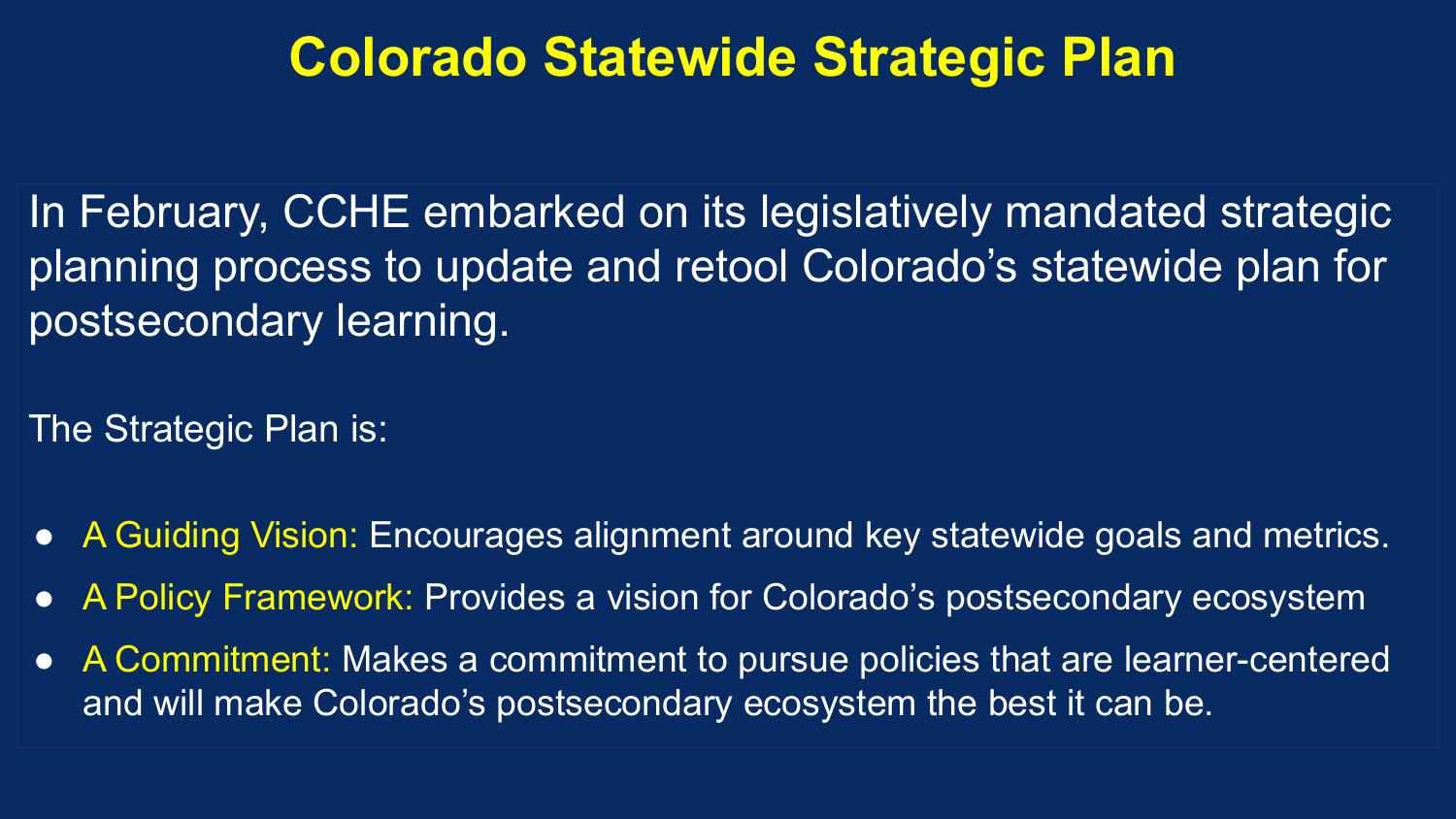## **Colorado Statewide Strategic Plan**

In February, CCHE embarked on its legislatively mandated strategic planning process to update and retool Colorado's statewide plan for postsecondary learning.

The Strategic Plan is:

- A Guiding Vision: Encourages alignment around key statewide goals and metrics.
- A Policy Framework: Provides a vision for Colorado's postsecondary ecosystem
- A Commitment: Makes a commitment to pursue policies that are learner-centered and will make Colorado's postsecondary ecosystem the best it can be.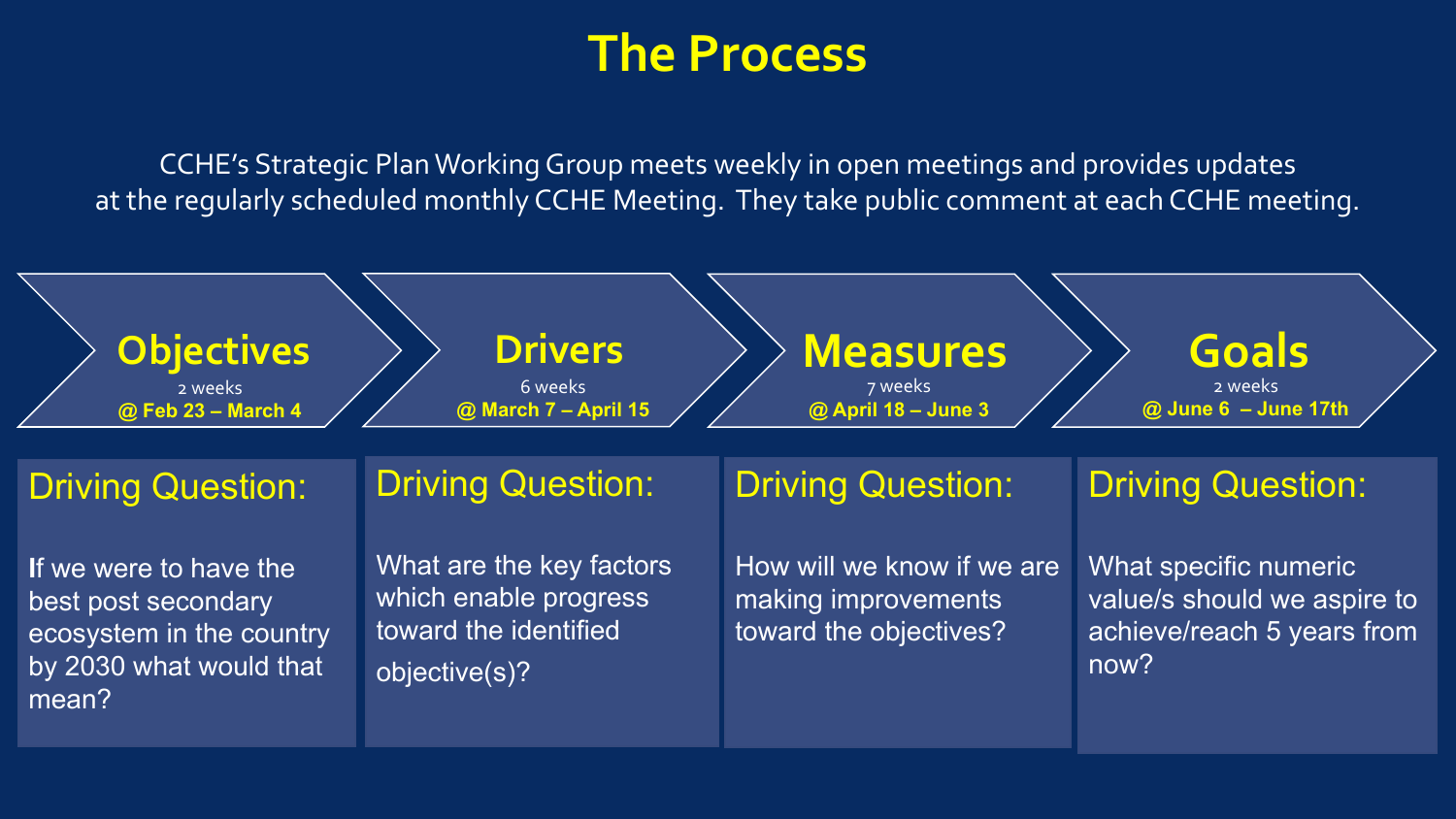## **The Process**

CCHE's Strategic Plan Working Group meets weekly in open meetings and provides updates at the regularly scheduled monthly CCHE Meeting. They take public comment at each CCHE meeting.

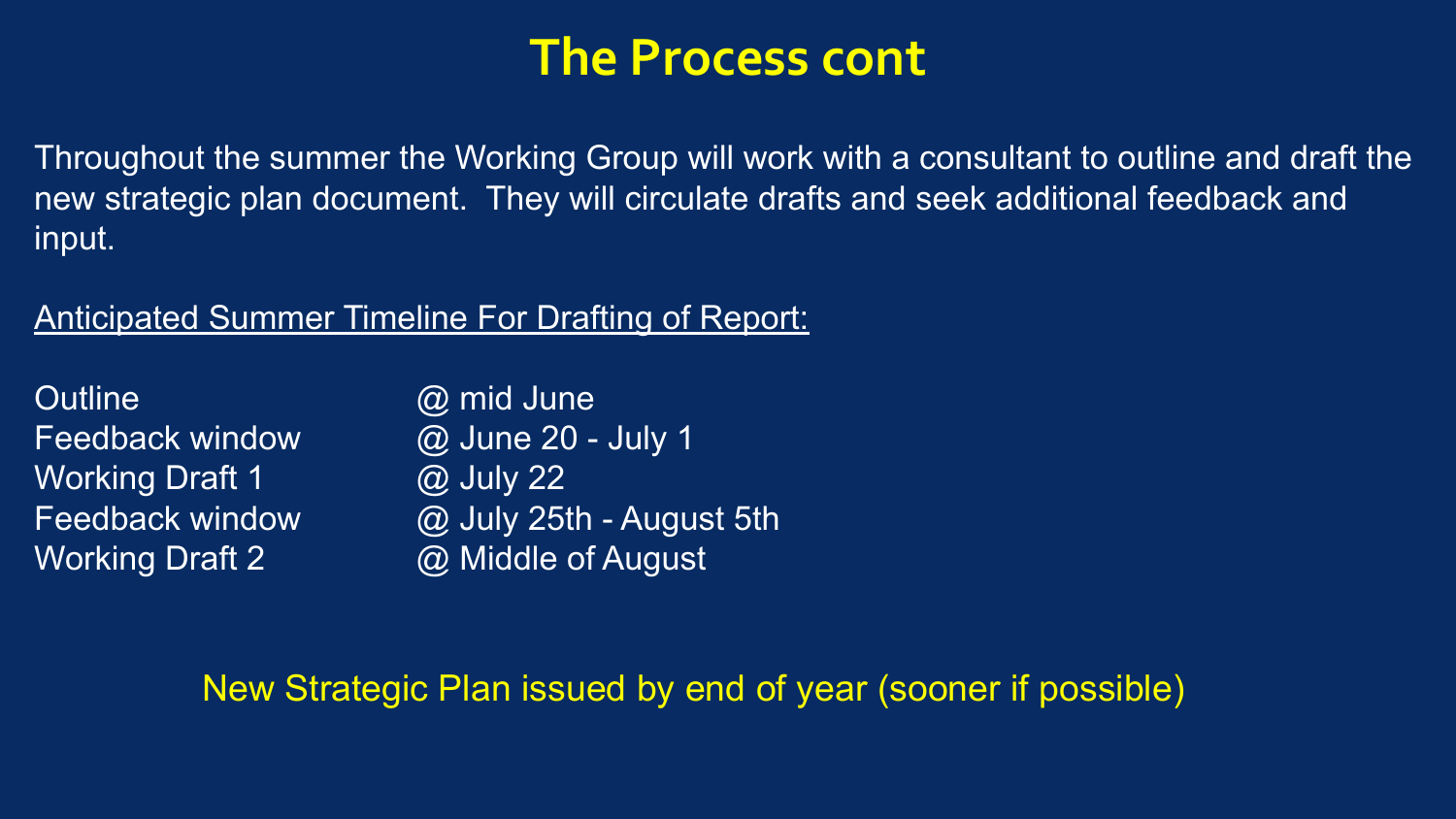## **The Process cont**

Throughout the summer the Working Group will work with a consultant to outline and draft the new strategic plan document. They will circulate drafts and seek additional feedback and input.

#### Anticipated Summer Timeline For Drafting of Report:

| <b>Outline</b>         | @ mid June               |
|------------------------|--------------------------|
| <b>Feedback window</b> | @ June 20 - July 1       |
| <b>Working Draft 1</b> | @ July 22                |
| <b>Feedback window</b> | @ July 25th - August 5th |
| <b>Working Draft 2</b> | @ Middle of August       |

#### New Strategic Plan issued by end of year (sooner if possible)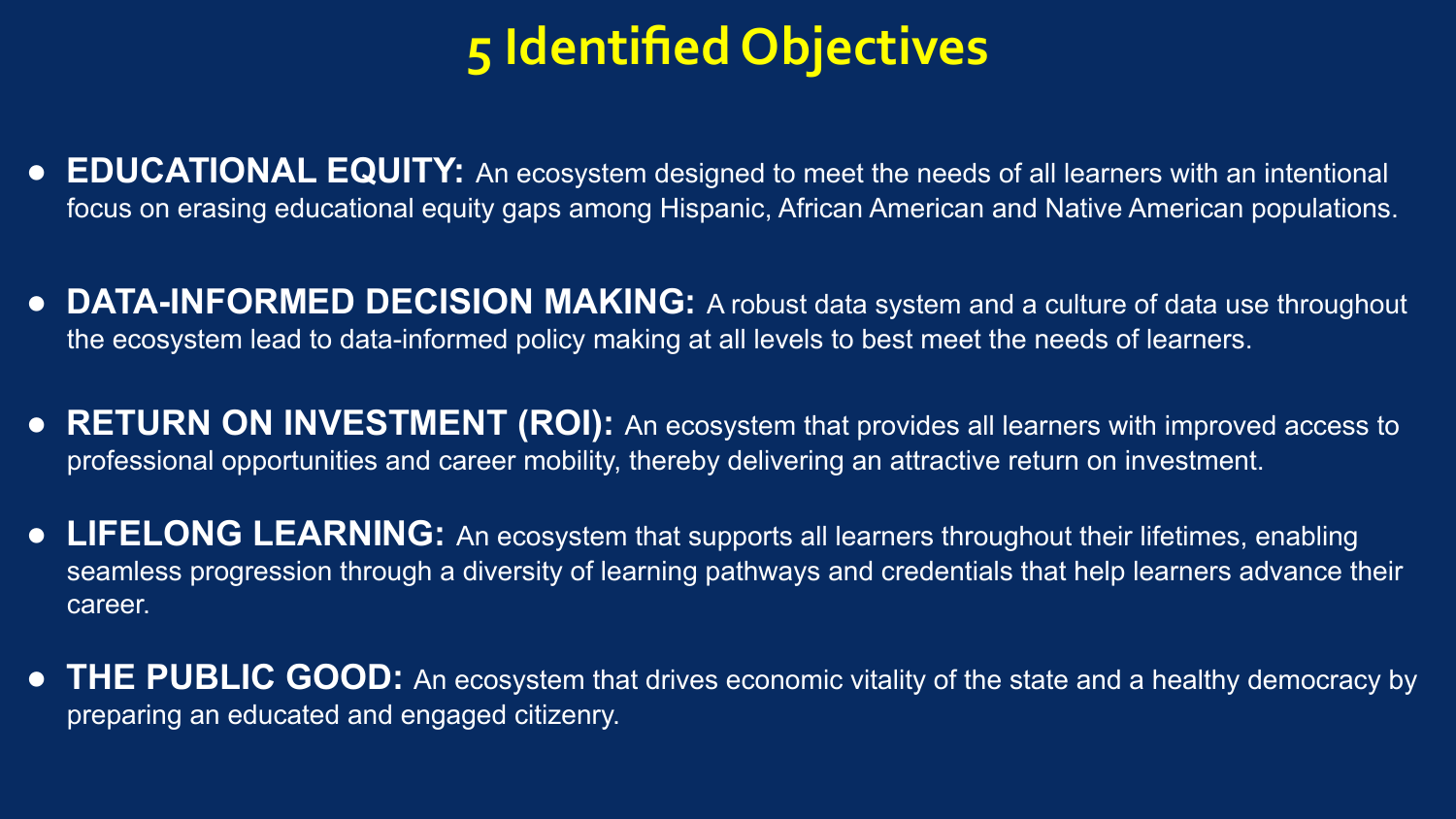# **5 Identified Objectives**

- **EDUCATIONAL EQUITY:** An ecosystem designed to meet the needs of all learners with an intentional focus on erasing educational equity gaps among Hispanic, African American and Native American populations.
- **DATA-INFORMED DECISION MAKING:** A robust data system and a culture of data use throughout the ecosystem lead to data-informed policy making at all levels to best meet the needs of learners.
- **RETURN ON INVESTMENT (ROI):** An ecosystem that provides all learners with improved access to professional opportunities and career mobility, thereby delivering an attractive return on investment.
- **LIFELONG LEARNING:** An ecosystem that supports all learners throughout their lifetimes, enabling seamless progression through a diversity of learning pathways and credentials that help learners advance their career.
- **THE PUBLIC GOOD:** An ecosystem that drives economic vitality of the state and a healthy democracy by preparing an educated and engaged citizenry.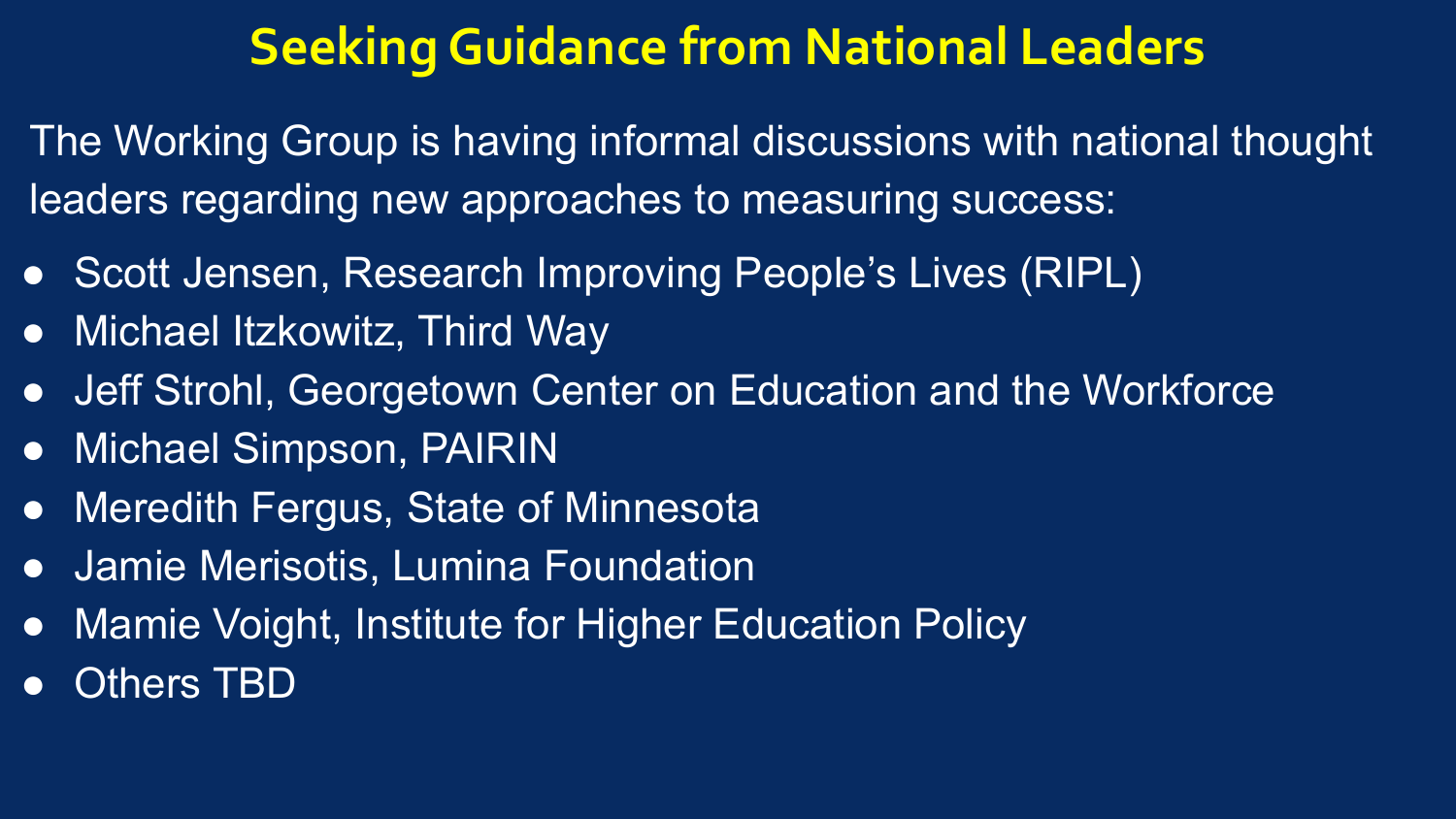## **Seeking Guidance from National Leaders**

The Working Group is having informal discussions with national thought leaders regarding new approaches to measuring success:

- Scott Jensen, Research Improving People's Lives (RIPL)
- Michael Itzkowitz, Third Way
- Jeff Strohl, Georgetown Center on Education and the Workforce
- Michael Simpson, PAIRIN
- Meredith Fergus, State of Minnesota
- **Jamie Merisotis, Lumina Foundation**
- Mamie Voight, Institute for Higher Education Policy
- **Others TBD**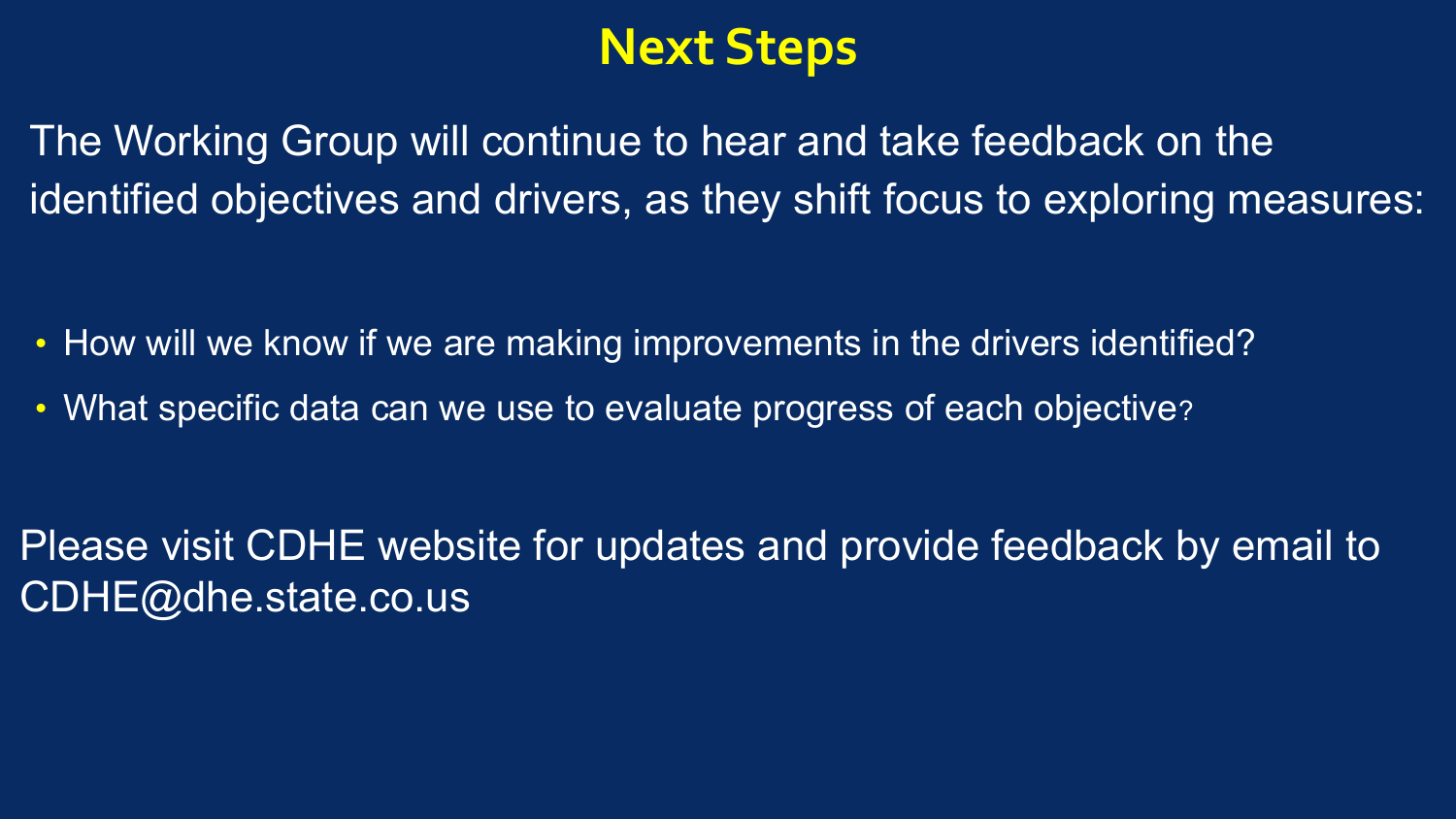## **Next Steps**

The Working Group will continue to hear and take feedback on the identified objectives and drivers, as they shift focus to exploring measures:

- How will we know if we are making improvements in the drivers identified?
- What specific data can we use to evaluate progress of each objective?

Please visit CDHE website for updates and provide feedback by email to CDHE@dhe.state.co.us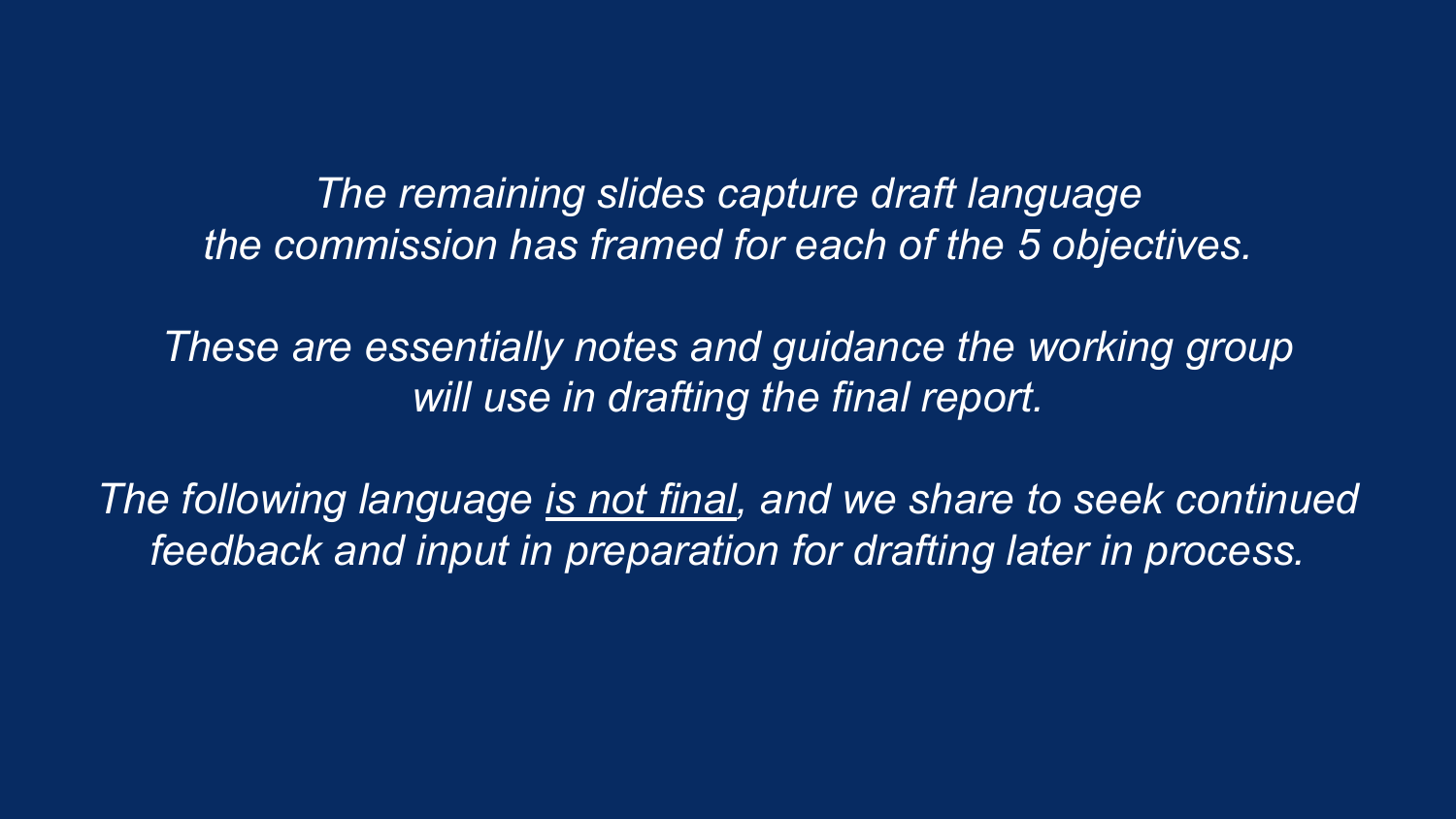*The remaining slides capture draft language the commission has framed for each of the 5 objectives.* 

*These are essentially notes and guidance the working group will use in drafting the final report.* 

*The following language is not final, and we share to seek continued feedback and input in preparation for drafting later in process.*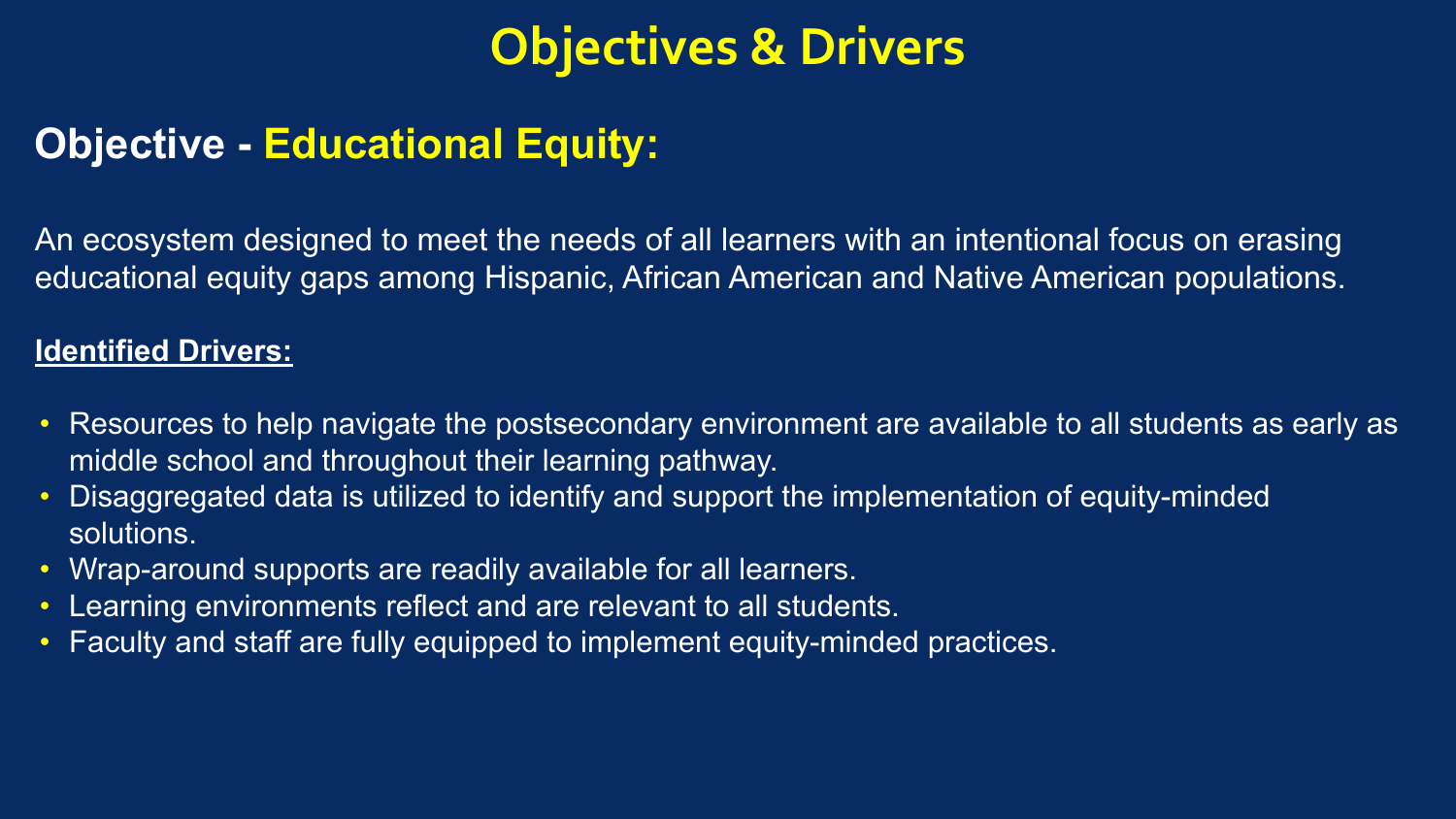## **Objective - Educational Equity:**

An ecosystem designed to meet the needs of all learners with an intentional focus on erasing educational equity gaps among Hispanic, African American and Native American populations.

- Resources to help navigate the postsecondary environment are available to all students as early as middle school and throughout their learning pathway.
- Disaggregated data is utilized to identify and support the implementation of equity-minded solutions.
- Wrap-around supports are readily available for all learners.
- Learning environments reflect and are relevant to all students.
- Faculty and staff are fully equipped to implement equity-minded practices.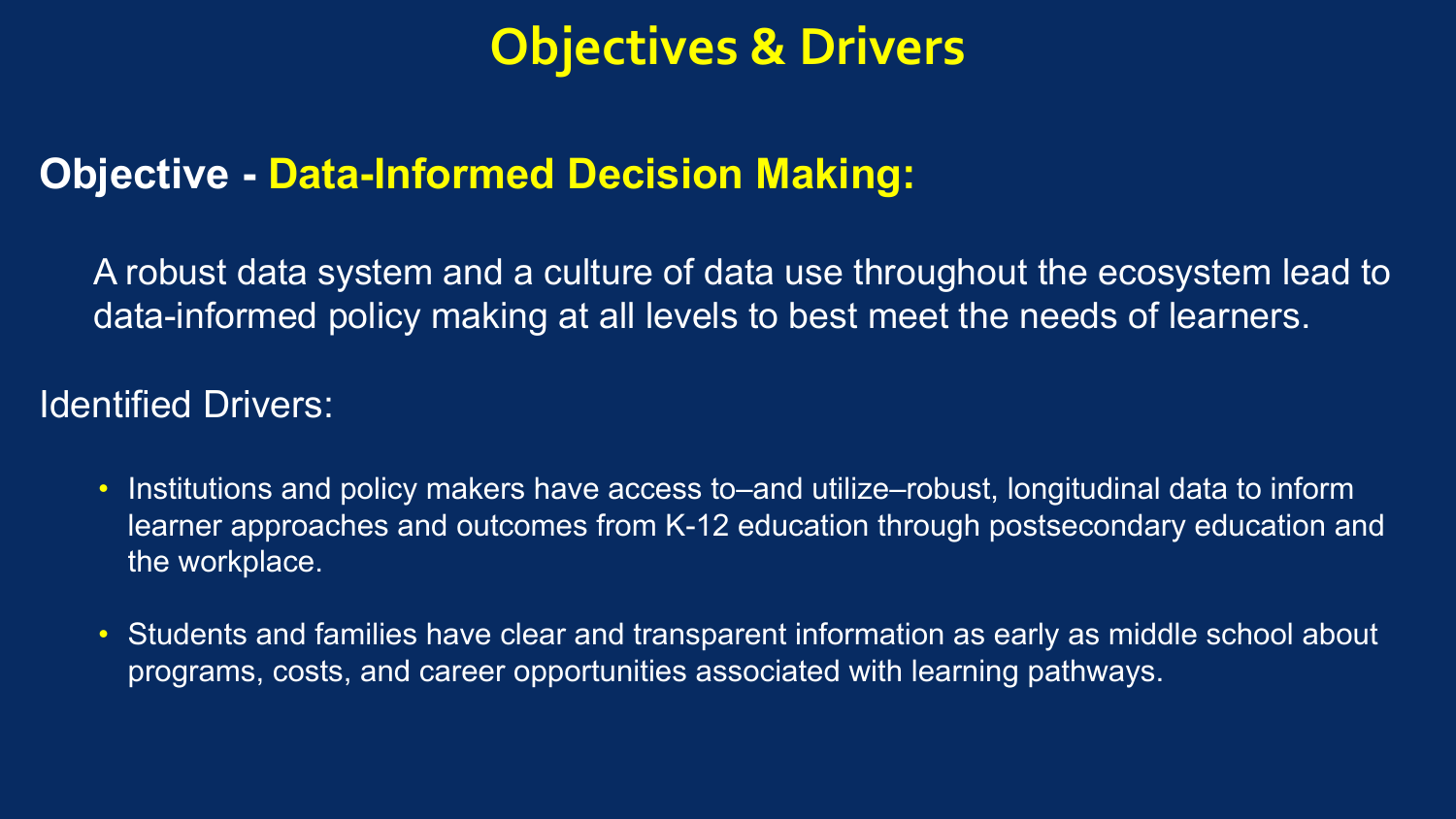## **Objective - Data-Informed Decision Making:**

A robust data system and a culture of data use throughout the ecosystem lead to data-informed policy making at all levels to best meet the needs of learners.

- Institutions and policy makers have access to–and utilize–robust, longitudinal data to inform learner approaches and outcomes from K-12 education through postsecondary education and the workplace.
- Students and families have clear and transparent information as early as middle school about programs, costs, and career opportunities associated with learning pathways.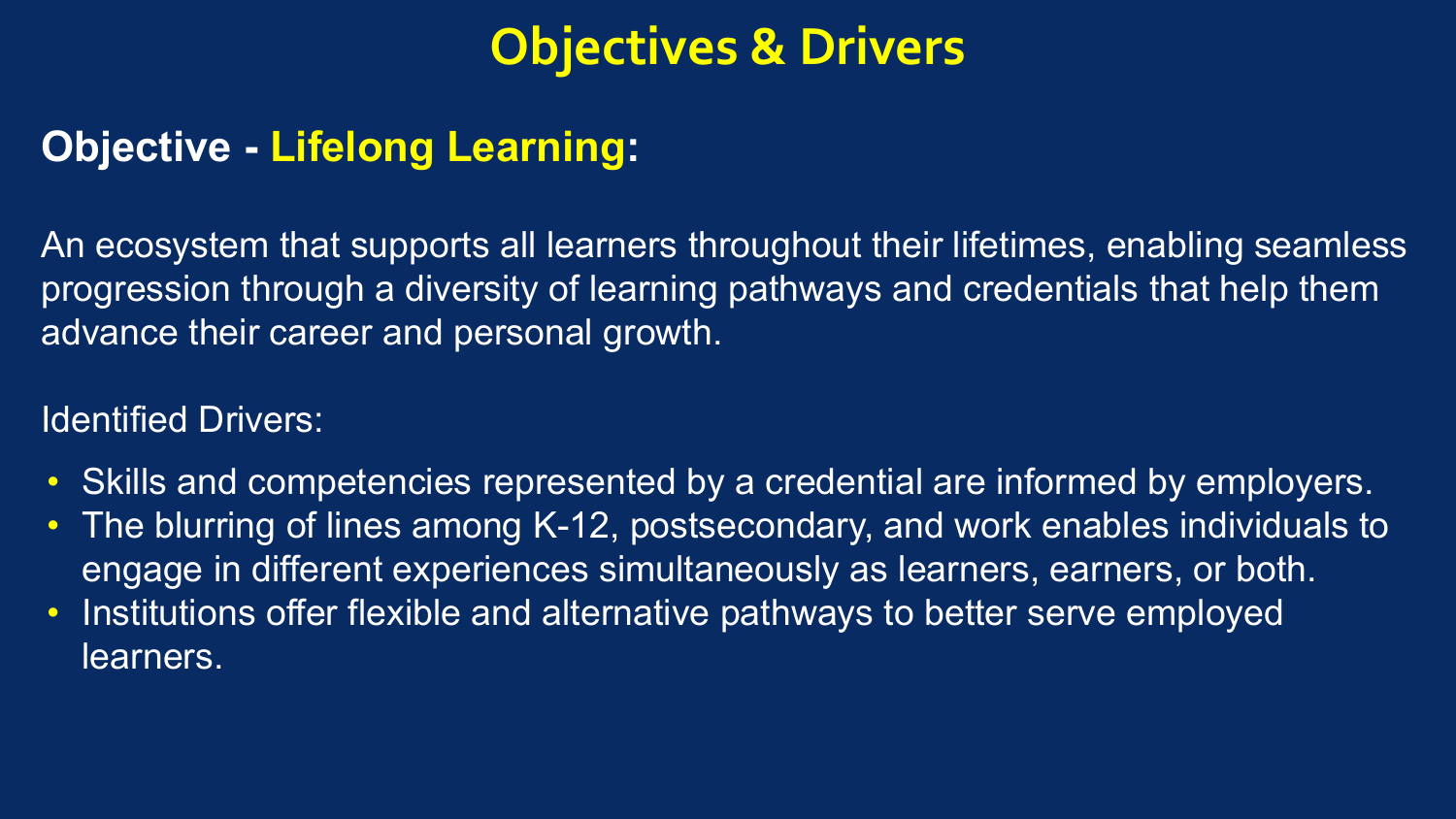### **Objective - Lifelong Learning:**

An ecosystem that supports all learners throughout their lifetimes, enabling seamless progression through a diversity of learning pathways and credentials that help them advance their career and personal growth.

- Skills and competencies represented by a credential are informed by employers.
- The blurring of lines among K-12, postsecondary, and work enables individuals to engage in different experiences simultaneously as learners, earners, or both.
- Institutions offer flexible and alternative pathways to better serve employed learners.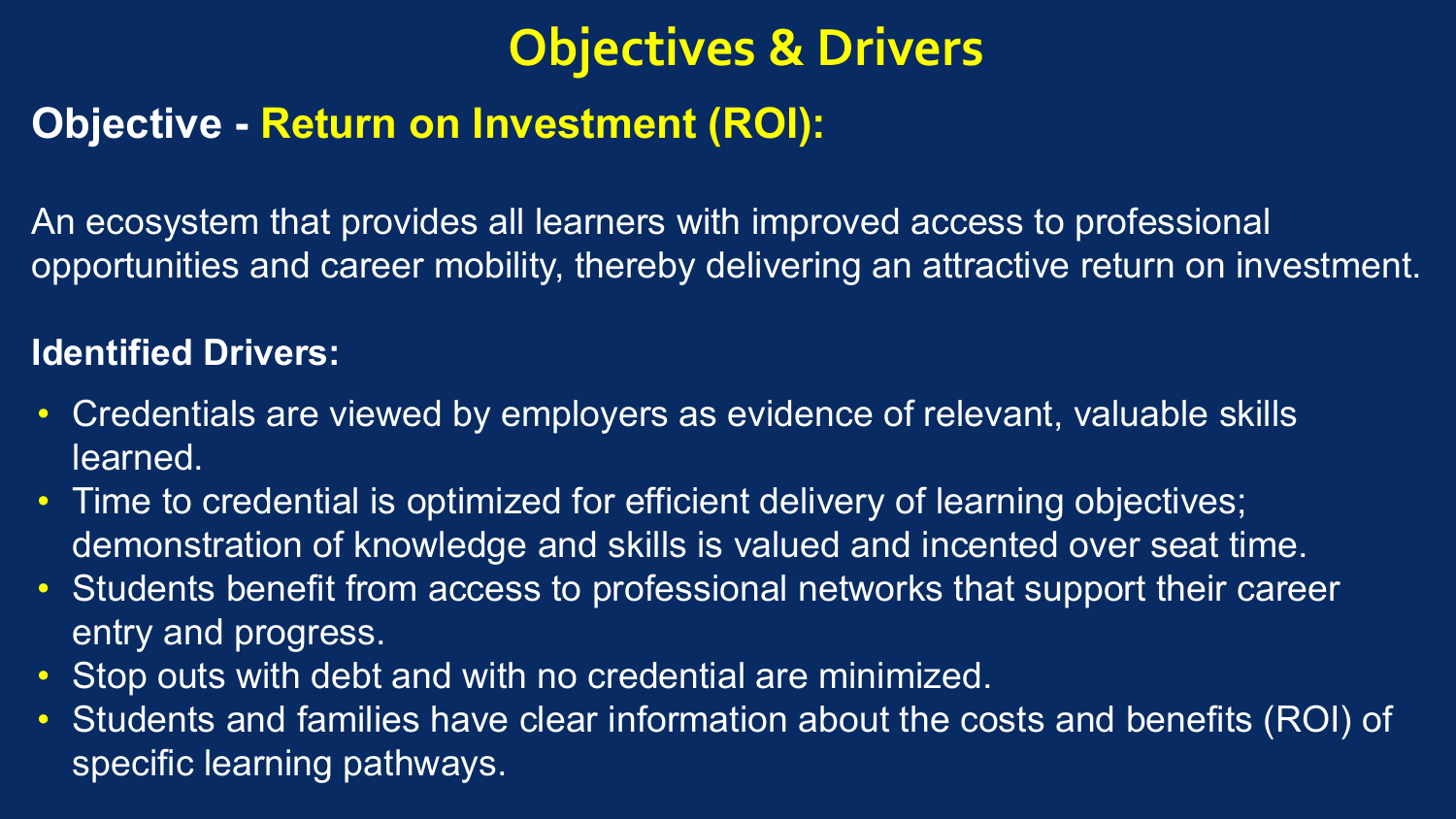## **Objective - Return on Investment (ROI):**

An ecosystem that provides all learners with improved access to professional opportunities and career mobility, thereby delivering an attractive return on investment.

- Credentials are viewed by employers as evidence of relevant, valuable skills learned.
- Time to credential is optimized for efficient delivery of learning objectives; demonstration of knowledge and skills is valued and incented over seat time.
- Students benefit from access to professional networks that support their career entry and progress.
- Stop outs with debt and with no credential are minimized.
- Students and families have clear information about the costs and benefits (ROI) of specific learning pathways.